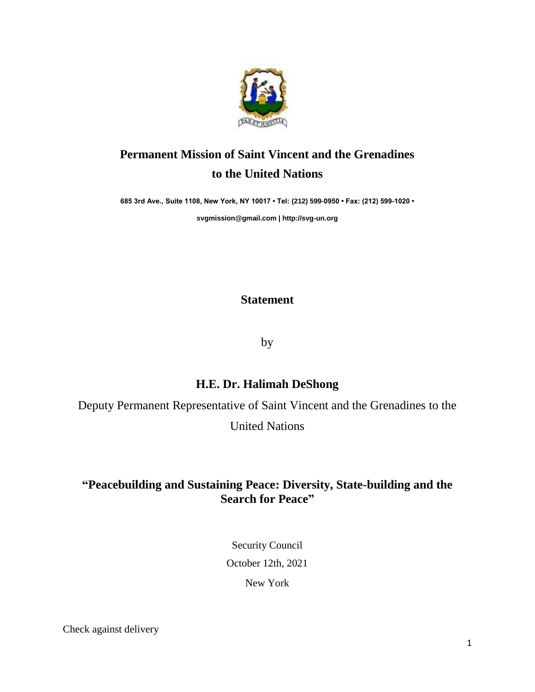

# **Permanent Mission of Saint Vincent and the Grenadines to the United Nations**

**685 3rd Ave., Suite 1108, New York, NY 10017 • Tel: (212) 599-0950 • Fax: (212) 599-1020 •** 

**[svgmission@gmail.com](mailto:svgmission@gmail.com) [| http://svg-un.org](http://svg-un.org/)**

#### **Statement**

by

### **H.E. Dr. Halimah DeShong**

Deputy Permanent Representative of Saint Vincent and the Grenadines to the

United Nations

## **"Peacebuilding and Sustaining Peace: Diversity, State-building and the Search for Peace"**

Security Council

October 12th, 2021

New York

Check against delivery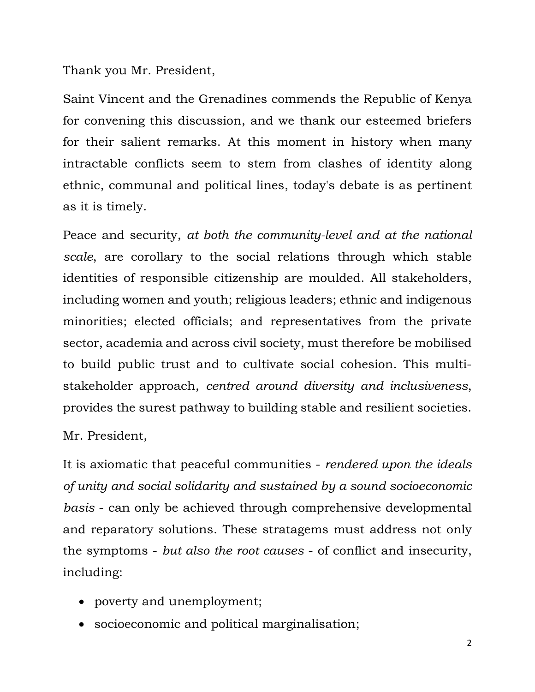Thank you Mr. President,

Saint Vincent and the Grenadines commends the Republic of Kenya for convening this discussion, and we thank our esteemed briefers for their salient remarks. At this moment in history when many intractable conflicts seem to stem from clashes of identity along ethnic, communal and political lines, today's debate is as pertinent as it is timely.

Peace and security, *at both the community-level and at the national scale*, are corollary to the social relations through which stable identities of responsible citizenship are moulded. All stakeholders, including women and youth; religious leaders; ethnic and indigenous minorities; elected officials; and representatives from the private sector, academia and across civil society, must therefore be mobilised to build public trust and to cultivate social cohesion. This multistakeholder approach, *centred around diversity and inclusiveness*, provides the surest pathway to building stable and resilient societies.

Mr. President,

It is axiomatic that peaceful communities - *rendered upon the ideals of unity and social solidarity and sustained by a sound socioeconomic basis* - can only be achieved through comprehensive developmental and reparatory solutions. These stratagems must address not only the symptoms - *but also the root causes* - of conflict and insecurity, including:

- poverty and unemployment;
- socioeconomic and political marginalisation;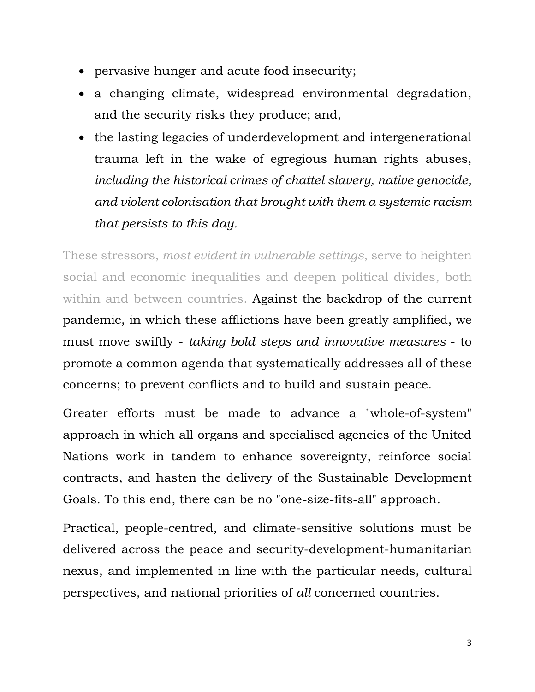- pervasive hunger and acute food insecurity;
- a changing climate, widespread environmental degradation, and the security risks they produce; and,
- the lasting legacies of underdevelopment and intergenerational trauma left in the wake of egregious human rights abuses, *including the historical crimes of chattel slavery, native genocide, and violent colonisation that brought with them a systemic racism that persists to this day.*

These stressors, *most evident in vulnerable settings*, serve to heighten social and economic inequalities and deepen political divides, both within and between countries. Against the backdrop of the current pandemic, in which these afflictions have been greatly amplified, we must move swiftly - *taking bold steps and innovative measures* - to promote a common agenda that systematically addresses all of these concerns; to prevent conflicts and to build and sustain peace.

Greater efforts must be made to advance a "whole-of-system" approach in which all organs and specialised agencies of the United Nations work in tandem to enhance sovereignty, reinforce social contracts, and hasten the delivery of the Sustainable Development Goals. To this end, there can be no "one-size-fits-all" approach.

Practical, people-centred, and climate-sensitive solutions must be delivered across the peace and security-development-humanitarian nexus, and implemented in line with the particular needs, cultural perspectives, and national priorities of *all* concerned countries.